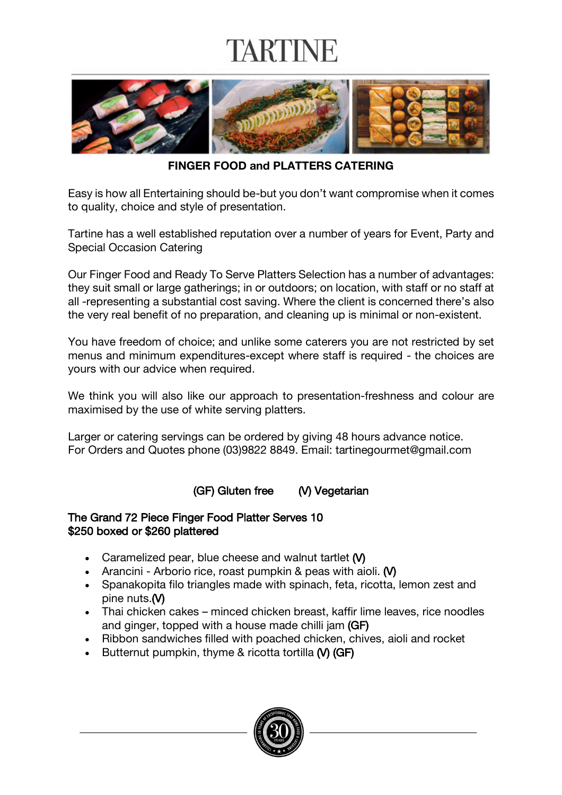# TARTINE



**FINGER FOOD and PLATTERS CATERING**

Easy is how all Entertaining should be-but you don't want compromise when it comes to quality, choice and style of presentation.

Tartine has a well established reputation over a number of years for Event, Party and Special Occasion Catering

Our Finger Food and Ready To Serve Platters Selection has a number of advantages: they suit small or large gatherings; in or outdoors; on location, with staff or no staff at all -representing a substantial cost saving. Where the client is concerned there's also the very real benefit of no preparation, and cleaning up is minimal or non-existent.

You have freedom of choice; and unlike some caterers you are not restricted by set menus and minimum expenditures-except where staff is required - the choices are yours with our advice when required.

We think you will also like our approach to presentation-freshness and colour are maximised by the use of white serving platters.

Larger or catering servings can be ordered by giving 48 hours advance notice. For Orders and Quotes phone (03)9822 8849. Email: tartinegourmet@gmail.com

(GF) Gluten free (V) Vegetarian

### The Grand 72 Piece Finger Food Platter Serves 10 \$250 boxed or \$260 plattered

- Caramelized pear, blue cheese and walnut tartlet (V)
- Arancini Arborio rice, roast pumpkin & peas with aioli. (V)
- Spanakopita filo triangles made with spinach, feta, ricotta, lemon zest and pine nuts.(V)
- Thai chicken cakes minced chicken breast, kaffir lime leaves, rice noodles and ginger, topped with a house made chilli jam (GF)
- Ribbon sandwiches filled with poached chicken, chives, aioli and rocket
- Butternut pumpkin, thyme & ricotta tortilla (V) (GF)

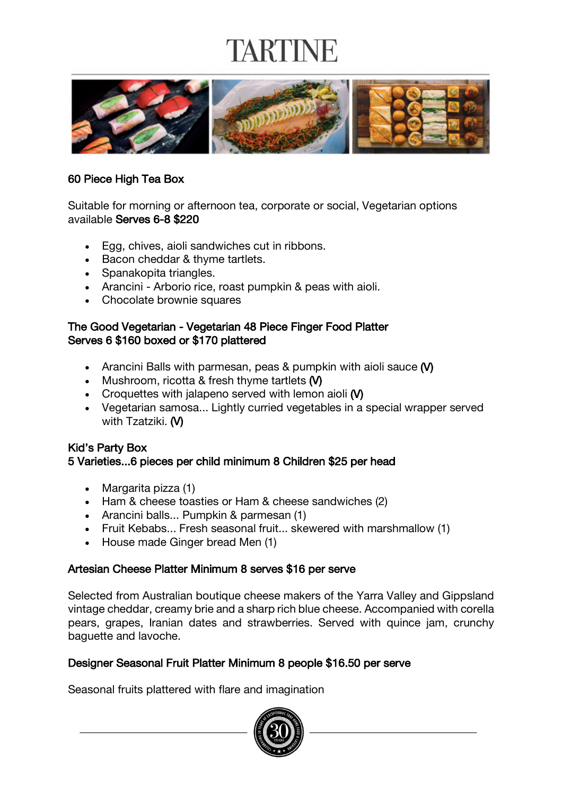# TARTINI



### 60 Piece High Tea Box

Suitable for morning or afternoon tea, corporate or social, Vegetarian options available Serves 6-8 \$220

- Egg, chives, aioli sandwiches cut in ribbons.
- Bacon cheddar & thyme tartlets.
- Spanakopita triangles.
- Arancini Arborio rice, roast pumpkin & peas with aioli.
- Chocolate brownie squares

### The Good Vegetarian - Vegetarian 48 Piece Finger Food Platter Serves 6 \$160 boxed or \$170 plattered

- Arancini Balls with parmesan, peas & pumpkin with aioli sauce (V)
- Mushroom, ricotta & fresh thyme tartlets (V)
- Croquettes with jalapeno served with lemon aioli (V)
- Vegetarian samosa... Lightly curried vegetables in a special wrapper served with Tzatziki. (V)

### Kid's Party Box 5 Varieties...6 pieces per child minimum 8 Children \$25 per head

- Margarita pizza (1)
- Ham & cheese toasties or Ham & cheese sandwiches (2)
- Arancini balls... Pumpkin & parmesan (1)
- Fruit Kebabs... Fresh seasonal fruit... skewered with marshmallow (1)
- House made Ginger bread Men (1)

## Artesian Cheese Platter Minimum 8 serves \$16 per serve

Selected from Australian boutique cheese makers of the Yarra Valley and Gippsland vintage cheddar, creamy brie and a sharp rich blue cheese. Accompanied with corella pears, grapes, Iranian dates and strawberries. Served with quince jam, crunchy baguette and lavoche.

## Designer Seasonal Fruit Platter Minimum 8 people \$16.50 per serve

Seasonal fruits plattered with flare and imagination